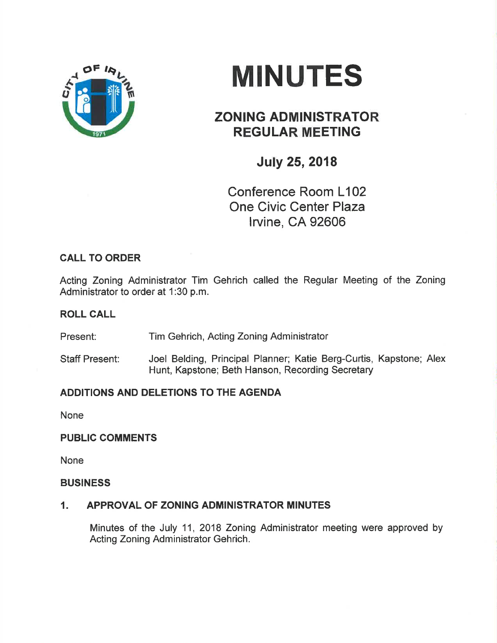

# **MINUTES**

## ZONING ADMINISTRATOR REGULAR MEETING

July 25,2018

Conference Room L102 One Civic Center Plaza lrvine, CA 92606

### CALL TO ORDER

Acting Zoning Administrator Tim Gehrich called the Regular Meeting of the Zoning Administrator to order at 1:30 p.m.

#### ROLL CALL

Present: Tim Gehrich, Acting Zoning Administrator

Staff Present: Joel Belding, Principal Planner; Katie Berg-Curtis, Kapstone; Alex Hunt, Kapstone; Beth Hanson, Recording Secretary

#### ADDITIONS AND DELETIONS TO THE AGENDA

None

#### PUBLIC COMMENTS

None

#### **BUSINESS**

#### 1. APPROVAL OF ZONING ADMINISTRATOR MINUTES

Minutes of the July 11, 2018 Zoning Administrator meeting were approved by Acting Zoning Administrator Gehrich.